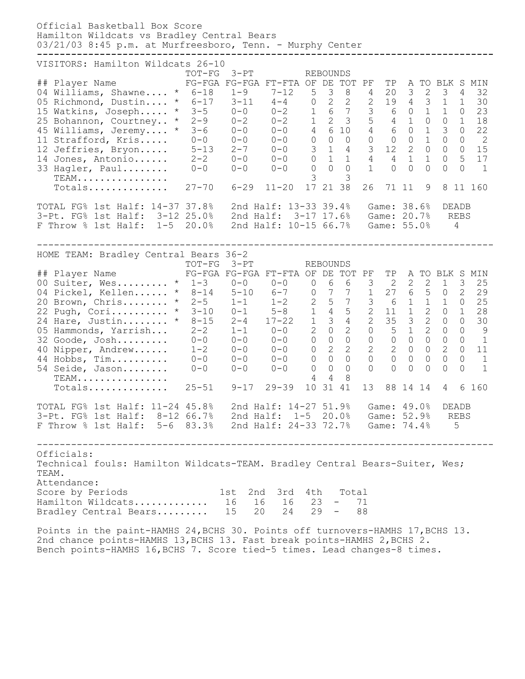| Official Basketball Box Score<br>Hamilton Wildcats vs Bradley Central Bears<br>03/21/03 8:45 p.m. at Murfreesboro, Tenn. - Murphy Center                                                                                                                                                                                                                                           |                                                                                                                                                                                                                                                                                           |                                                                                                                                                                                                                                                                                                  |                                                                                                                                                                                                                                                                                                                                                                                                                                                                           |                                                                                                                                                                                                                                                                                                                                                                                                                        |                                                                                                                                                                                                                                                                                                                                                                                    |
|------------------------------------------------------------------------------------------------------------------------------------------------------------------------------------------------------------------------------------------------------------------------------------------------------------------------------------------------------------------------------------|-------------------------------------------------------------------------------------------------------------------------------------------------------------------------------------------------------------------------------------------------------------------------------------------|--------------------------------------------------------------------------------------------------------------------------------------------------------------------------------------------------------------------------------------------------------------------------------------------------|---------------------------------------------------------------------------------------------------------------------------------------------------------------------------------------------------------------------------------------------------------------------------------------------------------------------------------------------------------------------------------------------------------------------------------------------------------------------------|------------------------------------------------------------------------------------------------------------------------------------------------------------------------------------------------------------------------------------------------------------------------------------------------------------------------------------------------------------------------------------------------------------------------|------------------------------------------------------------------------------------------------------------------------------------------------------------------------------------------------------------------------------------------------------------------------------------------------------------------------------------------------------------------------------------|
| VISITORS: Hamilton Wildcats 26-10<br>## Player Name<br>04 Williams, Shawne<br>05 Richmond, Dustin<br>15 Watkins, Joseph<br>25 Bohannon, Courtney<br>45 Williams, Jeremy<br>11 Strafford, Kris<br>12 Jeffries, Bryon<br>14 Jones, Antonio<br>33 Hagler, Paul<br>$TEAM$<br>Totals                                                                                                    | $TOT-FG$<br>$3-PT$<br>FG-FGA FG-FGA FT-FTA OF<br>$* 6 - 18$<br>$1 - 9$<br>$* 6 - 17$<br>$3 - 11$<br>$* 3-5$<br>$0 - 0$<br>$*$ 2-9<br>$0 - 2$<br>$* 3-6$<br>$0 - 0$<br>$0 - 0$<br>$0 - 0$<br>$5 - 13$<br>$2 - 7$<br>$2 - 2$<br>$0 - 0$<br>$0 - 0$<br>$0 - 0$<br>$27 - 70$<br>$6 - 29$      | $7 - 12$<br>5<br>$4-4$<br>$\circ$<br>$0 - 2$<br>1<br>$\mathbf{1}$<br>$0 - 2$<br>$4\overline{ }$<br>$() - ()$<br>$\circledcirc$<br>$0 - 0$<br>$\mathcal{S}$<br>$0 - 0$<br>$\circ$<br>$0 - 0$<br>$\Omega$<br>$0 - 0$<br>3<br>17<br>$11 - 20$                                                       | <b>REBOUNDS</b><br>DE<br>TOT<br>PF<br>3<br>8<br>4<br>$\overline{2}$<br>$\overline{2}$<br>$\mathbf{2}$<br>$6\overline{6}$<br>3<br>$\overline{7}$<br>5 <sup>1</sup><br>$\overline{2}$<br>$\mathcal{S}$<br>6 10<br>$\overline{4}$<br>$\mathsf{O}\xspace$<br>$\circ$<br>$\circ$<br>$\mathbf{1}$<br>$\mathcal{S}$<br>$\overline{4}$<br>$\mathbf{1}$<br>$\overline{1}$<br>$\overline{4}$<br>$\Omega$<br>$\Omega$<br>$\mathbf{1}$<br>3<br>21 38<br>26                            | TP<br>Α<br>$\mathbf{2}$<br>20<br>3<br>$\mathcal{S}$<br>$\overline{4}$<br>19<br>$\circ$<br>$\mathbf 1$<br>6<br>$4 \quad 1$<br>$\circ$<br>$\overline{0}$<br>$\mathbf 1$<br>6<br>$\circ$<br>$\mathbf 1$<br>$\circ$<br>$\overline{2}$<br>12<br>$\overline{0}$<br>$\overline{4}$<br>$\mathbf{1}$<br>$\mathbf 1$<br>$\Omega$<br>$\Omega$<br>$\Omega$<br>71 11<br>9                                                           | TO BLK S MIN<br>3<br>4<br>32<br>30<br>1<br>$\mathbf{1}$<br>$\mathbf{1}$<br>23<br>$\circ$<br>$\circ$<br>$\mathbf{1}$<br>18<br>$\mathfrak{Z}$<br>$\circ$<br>22<br>$\mathsf{O}\xspace$<br>$\overline{2}$<br>$\circ$<br>15<br>$\circ$<br>$\circ$<br>5<br>$\circ$<br>17<br>$\Omega$<br>$\Omega$<br>$\mathbf{1}$<br>8<br>11 160                                                          |
| TOTAL FG% 1st Half: 14-37 37.8%<br>3-Pt. FG% 1st Half:<br>F Throw % 1st Half:<br>$1 - 5$                                                                                                                                                                                                                                                                                           | $3 - 12$ 25.0%<br>2nd Half:<br>20.0%                                                                                                                                                                                                                                                      | 2nd Half: 13-33 39.4%<br>2nd Half: 10-15 66.7%                                                                                                                                                                                                                                                   | $3 - 17$ 17.6%                                                                                                                                                                                                                                                                                                                                                                                                                                                            | Game: 38.6%<br>Game: 20.7%<br>Game: 55.0%                                                                                                                                                                                                                                                                                                                                                                              | DEADB<br>REBS<br>4                                                                                                                                                                                                                                                                                                                                                                 |
| HOME TEAM: Bradley Central Bears 36-2<br>## Player Name<br>00 Suiter, Wes * 1-3<br>04 Pickel, Kellen<br>20 Brown, Chris<br>22 Pugh, Cori<br>$\star$<br>24 Hare, Justin<br>05 Hammonds, Yarrish<br>32 Goode, Josh<br>40 Nipper, Andrew<br>44 Hobbs, Tim<br>54 Seide, Jason<br>TEAM.<br>Totals                                                                                       | $TOT-FG$<br>$3-PT$<br>FG-FGA FG-FGA FT-FTA OF DE<br>$0 - 0$<br>$*$ 8-14 5-10<br>$*$ 2-5<br>$1 - 1$<br>$* 3 - 10$<br>$0 - 1$<br>$8 - 15$<br>$2 - 4$<br>$2 - 2$<br>$1 - 1$<br>$0 - 0$<br>$0 - 0$<br>$1 - 2$<br>$0 - 0$<br>$0 - 0$<br>$0 - 0$<br>$0 - 0$<br>$0 - 0$<br>$25 - 51$<br>$9 - 17$ | $\overline{0}$<br>$0 - 0$<br>$\overline{0}$<br>$6 - 7$<br>2<br>$1 - 2$<br>$\mathbf{1}$<br>$5 - 8$<br>$\mathbf{1}$<br>$17 - 22$<br>$\overline{2}$<br>$0 - 0$<br>$\overline{0}$<br>$0 - 0$<br>$\overline{0}$<br>$0 - 0$<br>$\overline{0}$<br>$0 - 0$<br>$\circ$<br>$0 - 0$<br>4<br>10<br>$29 - 39$ | <b>REBOUNDS</b><br>TOT PF<br>6<br>6<br>3<br>$7\phantom{.0}$<br>$7\phantom{.0}$<br>$\mathbf{1}$<br>$7\overline{ }$<br>5<br>3<br>$\overline{4}$<br>5<br>$\overline{2}$<br>$\overline{2}$<br>$\mathfrak{Z}$<br>$\overline{4}$<br>$\overline{2}$<br>$\circ$<br>$\overline{0}$<br>$\overline{0}$<br>$\circ$<br>$\circ$<br>$\overline{2}$<br>2<br>$\overline{2}$<br>$\overline{0}$<br>$\circ$<br>$\Omega$<br>$\overline{0}$<br>$\Omega$<br>$\Omega$<br>4<br>8<br>31<br>13<br>41 | TP<br>$\overline{2}$<br>2<br>$\mathbf{2}$<br>$6\overline{6}$<br>5<br>27<br>6<br>$\mathbf{1}$<br>$\mathbf 1$<br>$\mathbf{1}$<br>$\mathbf{2}$<br>11<br>$\mathcal{S}$<br>$\overline{2}$<br>35<br>$\overline{2}$<br>5<br>$\mathbf 1$<br>$\overline{0}$<br>$\mathbf{0}$<br>$\circ$<br>$\overline{2}$<br>$\overline{0}$<br>$\circ$<br>$\Omega$<br>$\overline{0}$<br>0<br>$\Omega$<br>$\bigcap$<br>$\Omega$<br>88<br>14<br>14 | A TO BLK S MIN<br>3<br>25<br>$\mathbf 1$<br>2<br>29<br>$\circ$<br>$\circ$<br>25<br>$\mathbf{1}$<br>$\mathbf{1}$<br>$\circ$<br>28<br>$\circ$<br>$\circ$<br>30<br>$\circledcirc$<br>$\circ$<br>$\mathcal{G}$<br>$\circ$<br>$\bigcap$<br>$\mathbf{1}$<br>2<br>$\bigcap$<br>11<br>$\Omega$<br>$\overline{0}$<br>$\mathbf{1}$<br>$\mathbf{1}$<br>$\Omega$<br>$\bigcap$<br>6<br>160<br>4 |
| TOTAL FG% 1st Half: 11-24 45.8% 2nd Half: 14-27 51.9% Game: 49.0%<br>3-Pt. FG% 1st Half: 8-12 66.7% 2nd Half: 1-5 20.0% Game: 52.9% REBS<br>F Throw % 1st Half: 5-6 83.3% 2nd Half: 24-33 72.7% Game: 74.4%                                                                                                                                                                        |                                                                                                                                                                                                                                                                                           |                                                                                                                                                                                                                                                                                                  |                                                                                                                                                                                                                                                                                                                                                                                                                                                                           |                                                                                                                                                                                                                                                                                                                                                                                                                        | DEADB<br>5                                                                                                                                                                                                                                                                                                                                                                         |
| Officials:<br>Technical fouls: Hamilton Wildcats-TEAM. Bradley Central Bears-Suiter, Wes;<br>TEAM.<br>Attendance:<br>Score by Periods<br>Hamilton Wildcats 16 16 16 23 - 71<br>Bradley Central Bears 15 20 24 29 - 88<br>Points in the paint-HAMHS 24, BCHS 30. Points off turnovers-HAMHS 17, BCHS 13.<br>2nd chance points-HAMHS 13, BCHS 13. Fast break points-HAMHS 2, BCHS 2. |                                                                                                                                                                                                                                                                                           | 1st 2nd 3rd 4th Total                                                                                                                                                                                                                                                                            |                                                                                                                                                                                                                                                                                                                                                                                                                                                                           |                                                                                                                                                                                                                                                                                                                                                                                                                        |                                                                                                                                                                                                                                                                                                                                                                                    |

Bench points-HAMHS 16,BCHS 7. Score tied-5 times. Lead changes-8 times.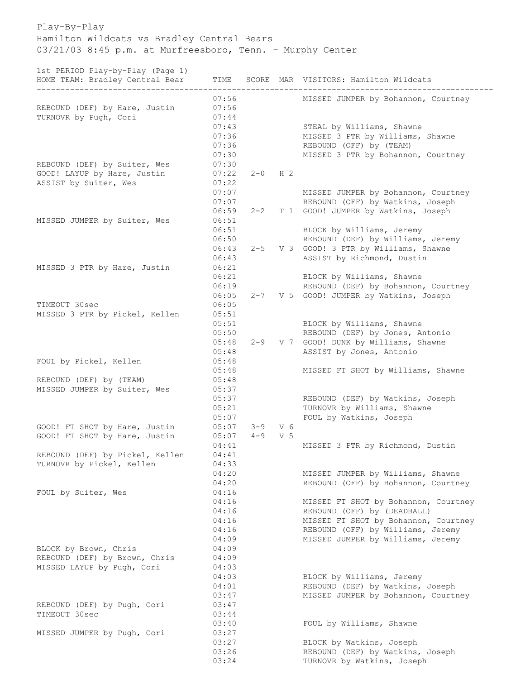Play-By-Play Hamilton Wildcats vs Bradley Central Bears 03/21/03 8:45 p.m. at Murfreesboro, Tenn. - Murphy Center

1st PERIOD Play-by-Play (Page 1)

| ISC FENIOD FIAY-DY-FIAY (FAYE I)<br>HOME TEAM: Bradley Central Bear | TIME           |             |     | SCORE MAR VISITORS: Hamilton Wildcats                               |
|---------------------------------------------------------------------|----------------|-------------|-----|---------------------------------------------------------------------|
|                                                                     | 07:56          |             |     | MISSED JUMPER by Bohannon, Courtney                                 |
| REBOUND (DEF) by Hare, Justin                                       | 07:56          |             |     |                                                                     |
| TURNOVR by Pugh, Cori                                               | 07:44          |             |     |                                                                     |
|                                                                     | 07:43          |             |     | STEAL by Williams, Shawne                                           |
|                                                                     | 07:36          |             |     | MISSED 3 PTR by Williams, Shawne                                    |
|                                                                     | 07:36          |             |     | REBOUND (OFF) by (TEAM)                                             |
|                                                                     | 07:30          |             |     | MISSED 3 PTR by Bohannon, Courtney                                  |
| REBOUND (DEF) by Suiter, Wes                                        | 07:30          |             |     |                                                                     |
| GOOD! LAYUP by Hare, Justin                                         | 07:22          | $2 - 0$ H 2 |     |                                                                     |
| ASSIST by Suiter, Wes                                               | 07:22          |             |     |                                                                     |
|                                                                     | 07:07          |             |     | MISSED JUMPER by Bohannon, Courtney                                 |
|                                                                     | 07:07          |             |     | REBOUND (OFF) by Watkins, Joseph                                    |
|                                                                     | 06:59          | $2 - 2$     |     | T 1 GOOD! JUMPER by Watkins, Joseph                                 |
| MISSED JUMPER by Suiter, Wes                                        | 06:51          |             |     |                                                                     |
|                                                                     | 06:51          |             |     | BLOCK by Williams, Jeremy                                           |
|                                                                     | 06:50          |             |     | REBOUND (DEF) by Williams, Jeremy                                   |
|                                                                     | 06:43<br>06:43 | $2 - 5$     |     | V 3 GOOD! 3 PTR by Williams, Shawne<br>ASSIST by Richmond, Dustin   |
| MISSED 3 PTR by Hare, Justin                                        | 06:21          |             |     |                                                                     |
|                                                                     | 06:21          |             |     | BLOCK by Williams, Shawne                                           |
|                                                                     | 06:19          |             |     | REBOUND (DEF) by Bohannon, Courtney                                 |
|                                                                     | 06:05          | $2 - 7$     |     | V 5 GOOD! JUMPER by Watkins, Joseph                                 |
| TIMEOUT 30sec                                                       | 06:05          |             |     |                                                                     |
| MISSED 3 PTR by Pickel, Kellen                                      | 05:51          |             |     |                                                                     |
|                                                                     | 05:51          |             |     | BLOCK by Williams, Shawne                                           |
|                                                                     | 05:50          |             |     | REBOUND (DEF) by Jones, Antonio                                     |
|                                                                     | 05:48          | $2 - 9$     |     | V 7 GOOD! DUNK by Williams, Shawne                                  |
|                                                                     | 05:48          |             |     | ASSIST by Jones, Antonio                                            |
| FOUL by Pickel, Kellen                                              | 05:48          |             |     |                                                                     |
|                                                                     | 05:48          |             |     | MISSED FT SHOT by Williams, Shawne                                  |
| REBOUND (DEF) by (TEAM)                                             | 05:48          |             |     |                                                                     |
| MISSED JUMPER by Suiter, Wes                                        | 05:37          |             |     |                                                                     |
|                                                                     | 05:37          |             |     | REBOUND (DEF) by Watkins, Joseph                                    |
|                                                                     | 05:21          |             |     | TURNOVR by Williams, Shawne                                         |
|                                                                     | 05:07          |             |     | FOUL by Watkins, Joseph                                             |
| GOOD! FT SHOT by Hare, Justin                                       | 05:07          | $3 - 9$     | V 6 |                                                                     |
| GOOD! FT SHOT by Hare, Justin                                       | 05:07          | $4 - 9$     | V 5 |                                                                     |
|                                                                     | 04:41          |             |     | MISSED 3 PTR by Richmond, Dustin                                    |
| REBOUND (DEF) by Pickel, Kellen                                     | 04:41          |             |     |                                                                     |
| TURNOVR by Pickel, Kellen                                           | 04:33          |             |     |                                                                     |
|                                                                     | 04:20          |             |     | MISSED JUMPER by Williams, Shawne                                   |
|                                                                     | 04:20          |             |     | REBOUND (OFF) by Bohannon, Courtney                                 |
| FOUL by Suiter, Wes                                                 | 04:16<br>04:16 |             |     |                                                                     |
|                                                                     | 04:16          |             |     | MISSED FT SHOT by Bohannon, Courtney                                |
|                                                                     | 04:16          |             |     | REBOUND (OFF) by (DEADBALL)<br>MISSED FT SHOT by Bohannon, Courtney |
|                                                                     | 04:16          |             |     | REBOUND (OFF) by Williams, Jeremy                                   |
|                                                                     | 04:09          |             |     | MISSED JUMPER by Williams, Jeremy                                   |
| BLOCK by Brown, Chris                                               | 04:09          |             |     |                                                                     |
| REBOUND (DEF) by Brown, Chris                                       | 04:09          |             |     |                                                                     |
| MISSED LAYUP by Pugh, Cori                                          | 04:03          |             |     |                                                                     |
|                                                                     | 04:03          |             |     | BLOCK by Williams, Jeremy                                           |
|                                                                     | 04:01          |             |     | REBOUND (DEF) by Watkins, Joseph                                    |
|                                                                     | 03:47          |             |     | MISSED JUMPER by Bohannon, Courtney                                 |
| REBOUND (DEF) by Pugh, Cori                                         | 03:47          |             |     |                                                                     |
| TIMEOUT 30sec                                                       | 03:44          |             |     |                                                                     |
|                                                                     | 03:40          |             |     | FOUL by Williams, Shawne                                            |
| MISSED JUMPER by Pugh, Cori                                         | 03:27          |             |     |                                                                     |
|                                                                     | 03:27          |             |     | BLOCK by Watkins, Joseph                                            |
|                                                                     | 03:26          |             |     | REBOUND (DEF) by Watkins, Joseph                                    |
|                                                                     | 03:24          |             |     | TURNOVR by Watkins, Joseph                                          |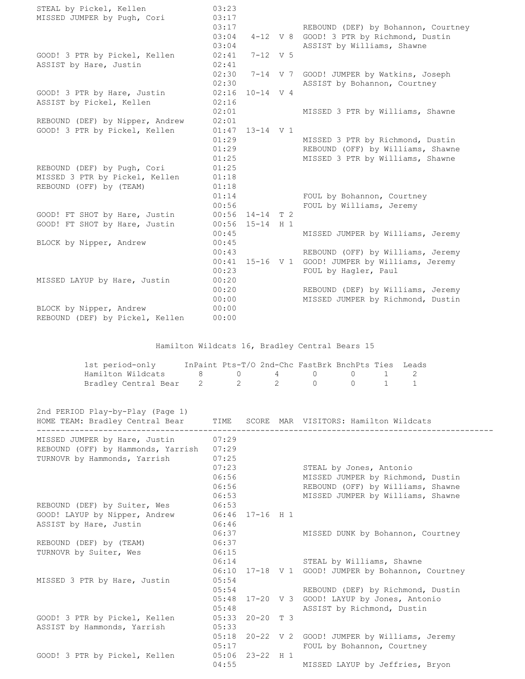| STEAL by Pickel, Kellen<br>MISSED JUMPER by Pugh, Cori | 03:23<br>03:17<br>03:17 |               | REBOUND (DEF) by Bohannon, Courtney                   |
|--------------------------------------------------------|-------------------------|---------------|-------------------------------------------------------|
|                                                        | 03:04                   |               | 4-12 V 8 GOOD! 3 PTR by Richmond, Dustin              |
|                                                        | 03:04                   |               | ASSIST by Williams, Shawne                            |
| GOOD! 3 PTR by Pickel, Kellen                          | 02:41                   | $7 - 12$ V 5  |                                                       |
| ASSIST by Hare, Justin                                 | 02:41                   |               |                                                       |
|                                                        | 02:30                   |               | 7-14 V 7 GOOD! JUMPER by Watkins, Joseph              |
|                                                        | 02:30                   |               | ASSIST by Bohannon, Courtney                          |
| GOOD! 3 PTR by Hare, Justin                            | 02:16                   | $10 - 14$ V 4 |                                                       |
| ASSIST by Pickel, Kellen                               | 02:16                   |               |                                                       |
|                                                        | 02:01                   |               | MISSED 3 PTR by Williams, Shawne                      |
| REBOUND (DEF) by Nipper, Andrew                        | 02:01                   |               |                                                       |
| GOOD! 3 PTR by Pickel, Kellen                          | 01:47                   | $13 - 14$ V 1 |                                                       |
|                                                        | 01:29                   |               | MISSED 3 PTR by Richmond, Dustin                      |
|                                                        | 01:29                   |               | REBOUND (OFF) by Williams, Shawne                     |
|                                                        | 01:25                   |               | MISSED 3 PTR by Williams, Shawne                      |
| REBOUND (DEF) by Pugh, Cori                            | 01:25                   |               |                                                       |
| MISSED 3 PTR by Pickel, Kellen                         | 01:18                   |               |                                                       |
| REBOUND (OFF) by (TEAM)                                | 01:18                   |               |                                                       |
|                                                        | 01:14                   |               | FOUL by Bohannon, Courtney                            |
|                                                        | 00:56                   |               | FOUL by Williams, Jeremy                              |
| GOOD! FT SHOT by Hare, Justin                          | 00:56                   | $14-14$ T 2   |                                                       |
| GOOD! FT SHOT by Hare, Justin                          | 00:56                   | $15 - 14$ H 1 |                                                       |
|                                                        | 00:45                   |               | MISSED JUMPER by Williams, Jeremy                     |
| BLOCK by Nipper, Andrew                                | 00:45                   |               |                                                       |
|                                                        | 00:43                   |               | REBOUND (OFF) by Williams, Jeremy                     |
|                                                        | 00:41                   |               | 15-16 V 1 GOOD! JUMPER by Williams, Jeremy            |
|                                                        | 00:23                   |               | FOUL by Hagler, Paul                                  |
| MISSED LAYUP by Hare, Justin                           | 00:20                   |               |                                                       |
|                                                        | 00:20                   |               | REBOUND (DEF) by Williams, Jeremy                     |
|                                                        | 00:00                   |               | MISSED JUMPER by Richmond, Dustin                     |
| BLOCK by Nipper, Andrew                                | 00:00                   |               |                                                       |
| REBOUND (DEF) by Pickel, Kellen                        | 00:00                   |               |                                                       |
|                                                        |                         |               |                                                       |
|                                                        |                         |               | Hamilton Wildcats 16, Bradley Central Bears 15        |
| 1st period-only                                        |                         |               | InPaint Pts-T/O 2nd-Chc FastBrk BnchPts Ties<br>Leads |

| TRE DETION_ONIA                    |  | THE LIFE RESTLING SHOTCHE FASIBLE BHOHELS THES THE AUST |  |  |
|------------------------------------|--|---------------------------------------------------------|--|--|
| Hamilton Wildcats 8 0 0 4 0 0 1 2  |  |                                                         |  |  |
| Bradley Central Bear 2 2 2 0 0 1 1 |  |                                                         |  |  |

| 2nd PERIOD Play-by-Play (Page 1)<br>HOME TEAM: Bradley Central Bear | TIME           |                   | SCORE MAR VISITORS: Hamilton Wildcats              |
|---------------------------------------------------------------------|----------------|-------------------|----------------------------------------------------|
| MISSED JUMPER by Hare, Justin                                       | 07:29          |                   |                                                    |
| REBOUND (OFF) by Hammonds, Yarrish                                  | 07:29          |                   |                                                    |
| TURNOVR by Hammonds, Yarrish                                        | 07:25          |                   |                                                    |
|                                                                     | 07:23          |                   | STEAL by Jones, Antonio                            |
|                                                                     | 06:56          |                   | MISSED JUMPER by Richmond, Dustin                  |
|                                                                     | 06:56          |                   | REBOUND (OFF) by Williams, Shawne                  |
|                                                                     | 06:53          |                   | MISSED JUMPER by Williams, Shawne                  |
| REBOUND (DEF) by Suiter, Wes                                        | 06:53          |                   |                                                    |
| GOOD! LAYUP by Nipper, Andrew                                       |                | 06:46 17-16 H 1   |                                                    |
| ASSIST by Hare, Justin                                              | 06:46          |                   |                                                    |
| REBOUND (DEF) by (TEAM)                                             | 06:37<br>06:37 |                   | MISSED DUNK by Bohannon, Courtney                  |
| TURNOVR by Suiter, Wes                                              | 06:15          |                   |                                                    |
|                                                                     | 06:14          |                   | STEAL by Williams, Shawne                          |
|                                                                     |                |                   | 06:10 17-18 V 1 GOOD! JUMPER by Bohannon, Courtney |
| MISSED 3 PTR by Hare, Justin                                        | 05:54          |                   |                                                    |
|                                                                     | 05:54          |                   | REBOUND (DEF) by Richmond, Dustin                  |
|                                                                     |                |                   | 05:48 17-20 V 3 GOOD! LAYUP by Jones, Antonio      |
|                                                                     | 05:48          |                   | ASSIST by Richmond, Dustin                         |
| GOOD! 3 PTR by Pickel, Kellen                                       |                | $05:33$ 20-20 T 3 |                                                    |
| ASSIST by Hammonds, Yarrish                                         | 05:33          |                   |                                                    |
|                                                                     |                |                   | 05:18 20-22 V 2 GOOD! JUMPER by Williams, Jeremy   |
|                                                                     | 05:17          |                   | FOUL by Bohannon, Courtney                         |
| GOOD! 3 PTR by Pickel, Kellen                                       |                | $05:06$ 23-22 H 1 |                                                    |
|                                                                     | 04:55          |                   | MISSED LAYUP by Jeffries, Bryon                    |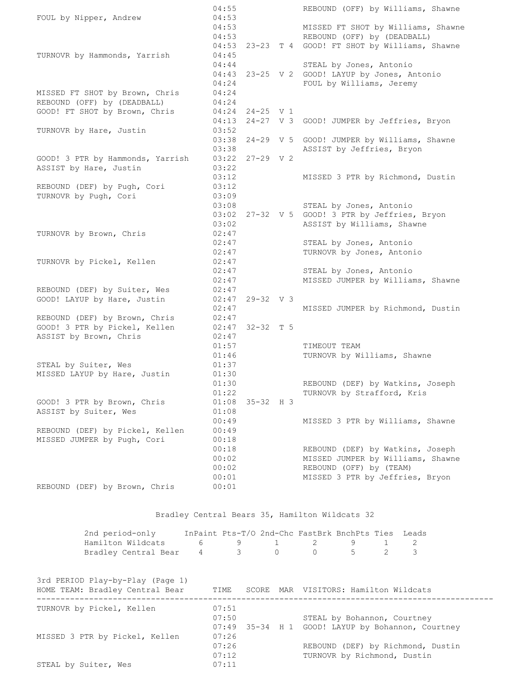| FOUL by Nipper, Andrew           | 04:55<br>04:53 |                     | REBOUND (OFF) by Williams, Shawne                                     |
|----------------------------------|----------------|---------------------|-----------------------------------------------------------------------|
|                                  | 04:53          |                     | MISSED FT SHOT by Williams, Shawne                                    |
|                                  | 04:53          |                     | REBOUND (OFF) by (DEADBALL)                                           |
|                                  |                |                     | 04:53 23-23 T 4 GOOD! FT SHOT by Williams, Shawne                     |
| TURNOVR by Hammonds, Yarrish     | 04:45          |                     |                                                                       |
|                                  | 04:44          |                     | STEAL by Jones, Antonio                                               |
|                                  |                |                     | 04:43 23-25 V 2 GOOD! LAYUP by Jones, Antonio                         |
|                                  | 04:24          |                     | FOUL by Williams, Jeremy                                              |
| MISSED FT SHOT by Brown, Chris   | 04:24          |                     |                                                                       |
| REBOUND (OFF) by (DEADBALL)      | 04:24          |                     |                                                                       |
| GOOD! FT SHOT by Brown, Chris    |                | $04:24$ 24-25 V 1   |                                                                       |
|                                  | 04:13          |                     | 24-27 V 3 GOOD! JUMPER by Jeffries, Bryon                             |
| TURNOVR by Hare, Justin          | 03:52          |                     |                                                                       |
|                                  | 03:38          |                     | 24-29 V 5 GOOD! JUMPER by Williams, Shawne                            |
|                                  | 03:38          |                     | ASSIST by Jeffries, Bryon                                             |
| GOOD! 3 PTR by Hammonds, Yarrish |                | $03:22$ $27-29$ V 2 |                                                                       |
| ASSIST by Hare, Justin           | 03:22          |                     |                                                                       |
|                                  | 03:12          |                     | MISSED 3 PTR by Richmond, Dustin                                      |
| REBOUND (DEF) by Pugh, Cori      | 03:12          |                     |                                                                       |
| TURNOVR by Pugh, Cori            | 03:09          |                     |                                                                       |
|                                  | 03:08          |                     | STEAL by Jones, Antonio                                               |
|                                  |                |                     | 03:02 27-32 V 5 GOOD! 3 PTR by Jeffries, Bryon                        |
|                                  | 03:02          |                     | ASSIST by Williams, Shawne                                            |
| TURNOVR by Brown, Chris          | 02:47          |                     |                                                                       |
|                                  | 02:47          |                     | STEAL by Jones, Antonio                                               |
|                                  | 02:47          |                     | TURNOVR by Jones, Antonio                                             |
| TURNOVR by Pickel, Kellen        | 02:47          |                     |                                                                       |
|                                  | 02:47          |                     | STEAL by Jones, Antonio                                               |
|                                  | 02:47          |                     | MISSED JUMPER by Williams, Shawne                                     |
| REBOUND (DEF) by Suiter, Wes     | 02:47          |                     |                                                                       |
| GOOD! LAYUP by Hare, Justin      | 02:47          | $29 - 32$ V 3       |                                                                       |
|                                  | 02:47          |                     | MISSED JUMPER by Richmond, Dustin                                     |
| REBOUND (DEF) by Brown, Chris    | 02:47          |                     |                                                                       |
| GOOD! 3 PTR by Pickel, Kellen    | 02:47          | 32-32 T 5           |                                                                       |
| ASSIST by Brown, Chris           | 02:47          |                     |                                                                       |
|                                  | 01:57          |                     | TIMEOUT TEAM                                                          |
|                                  | 01:46          |                     | TURNOVR by Williams, Shawne                                           |
| STEAL by Suiter, Wes             | 01:37          |                     |                                                                       |
| MISSED LAYUP by Hare, Justin     | 01:30          |                     |                                                                       |
|                                  | 01:30          |                     | REBOUND (DEF) by Watkins, Joseph                                      |
|                                  | 01:22          |                     | TURNOVR by Strafford, Kris                                            |
| GOOD! 3 PTR by Brown, Chris      | 01:08          | $35 - 32$ H 3       |                                                                       |
| ASSIST by Suiter, Wes            | 01:08          |                     |                                                                       |
| REBOUND (DEF) by Pickel, Kellen  | 00:49<br>00:49 |                     | MISSED 3 PTR by Williams, Shawne                                      |
| MISSED JUMPER by Pugh, Cori      | 00:18          |                     |                                                                       |
|                                  | 00:18          |                     |                                                                       |
|                                  | 00:02          |                     | REBOUND (DEF) by Watkins, Joseph<br>MISSED JUMPER by Williams, Shawne |
|                                  | 00:02          |                     | REBOUND (OFF) by (TEAM)                                               |
|                                  | 00:01          |                     | MISSED 3 PTR by Jeffries, Bryon                                       |
| REBOUND (DEF) by Brown, Chris    | 00:01          |                     |                                                                       |
|                                  |                |                     |                                                                       |

Bradley Central Bears 35, Hamilton Wildcats 32

| 2nd period-only                                                                   |  | InPaint Pts-T/O 2nd-Chc FastBrk BnchPts Ties Leads |  |  |
|-----------------------------------------------------------------------------------|--|----------------------------------------------------|--|--|
| Hamilton Wildcats $\begin{array}{cccccccc} 6 & 9 & 1 & 2 & 9 & 1 & 2 \end{array}$ |  |                                                    |  |  |
| Bradley Central Bear 4 3 0 0 5 2 3                                                |  |                                                    |  |  |

| 3rd PERIOD Play-by-Play (Page 1)<br>HOME TEAM: Bradley Central Bear | TIME                    | SCORE | MAR VISITORS: Hamilton Wildcats                                                  |
|---------------------------------------------------------------------|-------------------------|-------|----------------------------------------------------------------------------------|
| TURNOVR by Pickel, Kellen                                           | 07:51<br>07:50          |       | STEAL by Bohannon, Courtney<br>07:49 35-34 H 1 GOOD! LAYUP by Bohannon, Courtney |
| MISSED 3 PTR by Pickel, Kellen                                      | 07:26<br>07:26<br>07:12 |       | REBOUND (DEF) by Richmond, Dustin<br>TURNOVR by Richmond, Dustin                 |
| STEAL by Suiter, Wes                                                | 07:11                   |       |                                                                                  |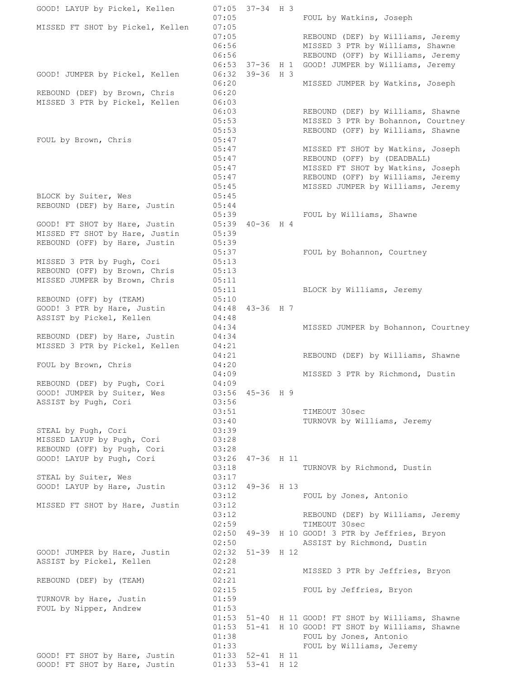GOOD! LAYUP by Pickel, Kellen 07:05 37-34 H 3 07:05 FOUL by Watkins, Joseph MISSED FT SHOT by Pickel, Kellen 07:05 07:05 REBOUND (DEF) by Williams, Jeremy 06:56 MISSED 3 PTR by Williams, Shawne 06:56 REBOUND (OFF) by Williams, Jeremy 06:53 37-36 H 1 GOOD! JUMPER by Williams, Jeremy GOOD! JUMPER by Pickel, Kellen 06:32 39-36 H 3 06:20 MISSED JUMPER by Watkins, Joseph REBOUND (DEF) by Brown, Chris 06:20 MISSED 3 PTR by Pickel, Kellen 06:03 06:03 REBOUND (DEF) by Williams, Shawne 05:53 MISSED 3 PTR by Bohannon, Courtney<br>
05:53 REBOUND (OFF) by Williams, Shawne<br>
05:47 MISSED FT SHOT by Watkins, Joseph<br>
05:47 REBOUND (OFF) by (DEADBALL)<br>
05:47 MISSED FT SHOT by Watkins, Joseph<br>
05:47 REBOUND (OFF) by REBOUND (OFF) by Williams, Shawne FOUL by Brown, Chris 05:47 MISSED FT SHOT by Watkins, Joseph 05:47 REBOUND (OFF) by (DEADBALL) 05:47 MISSED FT SHOT by Watkins, Joseph 05:47 REBOUND (OFF) by Williams, Jeremy 05:45 MISSED JUMPER by Williams, Jeremy BLOCK by Suiter, Wes 05:45 REBOUND (DEF) by Hare, Justin 05:44 05:39 FOUL by Williams, Shawne GOOD! FT SHOT by Hare, Justin 05:39 40-36 H 4 MISSED FT SHOT by Hare, Justin 05:39<br>REBOUND (OFF) by Hare Justin 05:39 REBOUND (OFF) by Hare, Justin 05:39 05:37 FOUL by Bohannon, Courtney MISSED 3 PTR by Pugh, Cori 05:13 REBOUND (OFF) by Brown, Chris 05:13 MISSED JUMPER by Brown, Chris 05:11 05:11 BLOCK by Williams, Jeremy REBOUND (OFF) by (TEAM) 05:10 GOOD! 3 PTR by Hare, Justin 04:48 43-36 H 7 ASSIST by Pickel, Kellen 194:48 04:34 MISSED JUMPER by Bohannon, Courtney REBOUND (DEF) by Hare, Justin 04:34 MISSED 3 PTR by Pickel, Kellen 04:21 04:21 REBOUND (DEF) by Williams, Shawne FOUL by Brown, Chris 04:20 04:09 MISSED 3 PTR by Richmond, Dustin<br>03:56 45-36 H 9<br>03:56 REBOUND (DEF) by Pugh, Cori 04:09 GOOD! JUMPER by Suiter, Wes 03:56 45-36 H 9 ASSIST by Pugh, Cori 03:51 TIMEOUT 30sec 03:40 TURNOVR by Williams, Jeremy STEAL by Pugh, Cori 03:39<br>
MISSED LAYUP by Pugh, Cori 03:28<br>
REBOUND (OFF) by Pugh, Cori 03:28<br>
GOOD! LAYUP by Pugh, Cori 03:26 47-36 H 11 MISSED LAYUP by Pugh, Cori 03:28 REBOUND (OFF) by Pugh, Cori 03:28 GOOD! LAYUP by Pugh, Cori 03:26 47-36 H 11 03:18 TURNOVR by Richmond, Dustin STEAL by Suiter, Wes 03:17 GOOD! LAYUP by Hare, Justin 03:12 49-36 H 13 03:12 FOUL by Jones, Antonio MISSED FT SHOT by Hare, Justin 03:12 03:12 REBOUND (DEF) by Williams, Jeremy 02:59 TIMEOUT 30sec 02:50 49-39 H 10 GOOD! 3 PTR by Jeffries, Bryon 02:50 ASSIST by Richmond, Dustin<br>02:32 51-39 H 12 GOOD! JUMPER by Hare, Justin ASSIST by Pickel, Kellen 02:28 02:21 MISSED 3 PTR by Jeffries, Bryon REBOUND (DEF) by (TEAM) 02:21 02:15 FOUL by Jeffries, Bryon TURNOVR by Hare, Justin 01:59 FOUL by Nipper, Andrew 01:53 01:53 51-40 H 11 GOOD! FT SHOT by Williams, Shawne 01:53 51-41 H 10 GOOD! FT SHOT by Williams, Shawne 01:38 FOUL by Jones, Antonio 01:33 FOUL by Williams, Jeremy GOOD! FT SHOT by Hare, Justin 01:33 52-41 H 11 GOOD! FT SHOT by Hare, Justin 01:33 53-41 H 12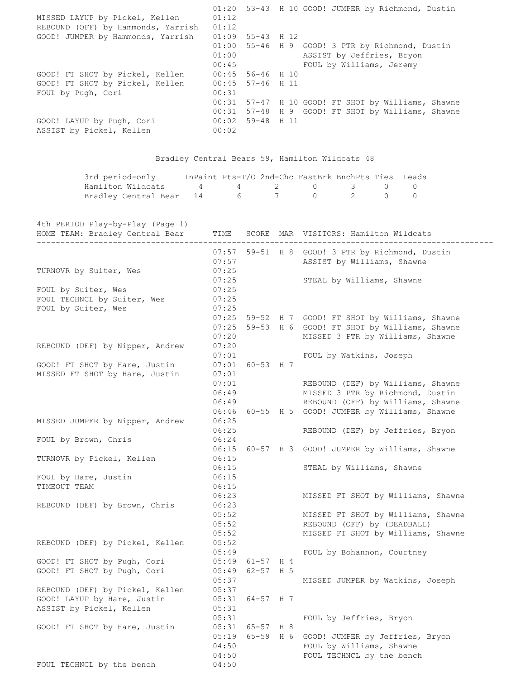| MISSED LAYUP by Pickel, Kellen<br>REBOUND (OFF) by Hammonds, Yarrish                       | 01:12<br>01:12                            |                                      |        | 01:20 53-43 H 10 GOOD! JUMPER by Richmond, Dustin                                                                                             |
|--------------------------------------------------------------------------------------------|-------------------------------------------|--------------------------------------|--------|-----------------------------------------------------------------------------------------------------------------------------------------------|
| GOOD! JUMPER by Hammonds, Yarrish                                                          | 01:00<br>01:00<br>00:45                   | $01:09$ 55-43 H 12                   |        | 55-46 H 9 GOOD! 3 PTR by Richmond, Dustin<br>ASSIST by Jeffries, Bryon<br>FOUL by Williams, Jeremy                                            |
| GOOD! FT SHOT by Pickel, Kellen<br>GOOD! FT SHOT by Pickel, Kellen<br>FOUL by Pugh, Cori   | 00:45<br>00:31                            | 00:45 56-46 H 10<br>57-46 H 11       |        |                                                                                                                                               |
|                                                                                            |                                           |                                      |        | 00:31 57-47 H 10 GOOD! FT SHOT by Williams, Shawne<br>00:31 57-48 H 9 GOOD! FT SHOT by Williams, Shawne                                       |
| GOOD! LAYUP by Pugh, Cori<br>ASSIST by Pickel, Kellen                                      | 00:02                                     | $00:02$ 59-48 H 11                   |        |                                                                                                                                               |
|                                                                                            |                                           |                                      |        | Bradley Central Bears 59, Hamilton Wildcats 48                                                                                                |
| 3rd period-only<br>Hamilton Wildcats<br>$4\overline{ }$<br>Bradley Central Bear<br>14      | 4<br>6                                    |                                      | 2<br>7 | InPaint Pts-T/O 2nd-Chc FastBrk BnchPts Ties Leads<br>$\circ$<br>3<br>0<br>0<br>$\overline{2}$<br>$\mathbf{0}$<br>0<br>$\circ$                |
| 4th PERIOD Play-by-Play (Page 1)<br>HOME TEAM: Bradley Central Bear                        | TIME                                      |                                      |        | SCORE MAR VISITORS: Hamilton Wildcats                                                                                                         |
|                                                                                            | 07:57<br>07:25                            |                                      |        | 07:57 59-51 H 8 GOOD! 3 PTR by Richmond, Dustin<br>ASSIST by Williams, Shawne                                                                 |
| TURNOVR by Suiter, Wes<br>FOUL by Suiter, Wes                                              | 07:25<br>07:25                            |                                      |        | STEAL by Williams, Shawne                                                                                                                     |
| FOUL TECHNCL by Suiter, Wes<br>FOUL by Suiter, Wes                                         | 07:25<br>07:25                            |                                      |        |                                                                                                                                               |
| REBOUND (DEF) by Nipper, Andrew                                                            | 07:25<br>07:25<br>07:20<br>07:20          |                                      |        | 59-52 H 7 GOOD! FT SHOT by Williams, Shawne<br>59-53 H 6 GOOD! FT SHOT by Williams, Shawne<br>MISSED 3 PTR by Williams, Shawne                |
| GOOD! FT SHOT by Hare, Justin                                                              | 07:01                                     | $07:01$ 60-53 H 7                    |        | FOUL by Watkins, Joseph                                                                                                                       |
| MISSED FT SHOT by Hare, Justin                                                             | 07:01<br>07:01<br>06:49<br>06:49          |                                      |        | REBOUND (DEF) by Williams, Shawne<br>MISSED 3 PTR by Richmond, Dustin<br>REBOUND (OFF) by Williams, Shawne                                    |
| MISSED JUMPER by Nipper, Andrew                                                            | 06:46<br>06:25<br>06:25                   |                                      |        | 60-55 H 5 GOOD! JUMPER by Williams, Shawne<br>REBOUND (DEF) by Jeffries, Bryon                                                                |
| FOUL by Brown, Chris                                                                       | 06:24<br>06:15                            |                                      |        | 60-57 H 3 GOOD! JUMPER by Williams, Shawne                                                                                                    |
| TURNOVR by Pickel, Kellen                                                                  | 06:15<br>06:15                            |                                      |        | STEAL by Williams, Shawne                                                                                                                     |
| FOUL by Hare, Justin<br>TIMEOUT TEAM                                                       | 06:15<br>06:15                            |                                      |        |                                                                                                                                               |
| REBOUND (DEF) by Brown, Chris                                                              | 06:23<br>06:23<br>05:52<br>05:52<br>05:52 |                                      |        | MISSED FT SHOT by Williams, Shawne<br>MISSED FT SHOT by Williams, Shawne<br>REBOUND (OFF) by (DEADBALL)<br>MISSED FT SHOT by Williams, Shawne |
| REBOUND (DEF) by Pickel, Kellen                                                            | 05:52<br>05:49                            |                                      |        | FOUL by Bohannon, Courtney                                                                                                                    |
| GOOD! FT SHOT by Pugh, Cori<br>GOOD! FT SHOT by Pugh, Cori                                 | 05:37                                     | $05:49$ 61-57 H 4<br>05:49 62-57 H 5 |        | MISSED JUMPER by Watkins, Joseph                                                                                                              |
| REBOUND (DEF) by Pickel, Kellen<br>GOOD! LAYUP by Hare, Justin<br>ASSIST by Pickel, Kellen | 05:37<br>05:31<br>05:31                   | 64-57 H 7                            |        |                                                                                                                                               |
| GOOD! FT SHOT by Hare, Justin                                                              | 05:31<br>05:19<br>04:50                   | 05:31 65-57 H 8                      |        | FOUL by Jeffries, Bryon<br>65-59 H 6 GOOD! JUMPER by Jeffries, Bryon<br>FOUL by Williams, Shawne                                              |
| FOUL TECHNCL by the bench                                                                  | 04:50<br>04:50                            |                                      |        | FOUL TECHNCL by the bench                                                                                                                     |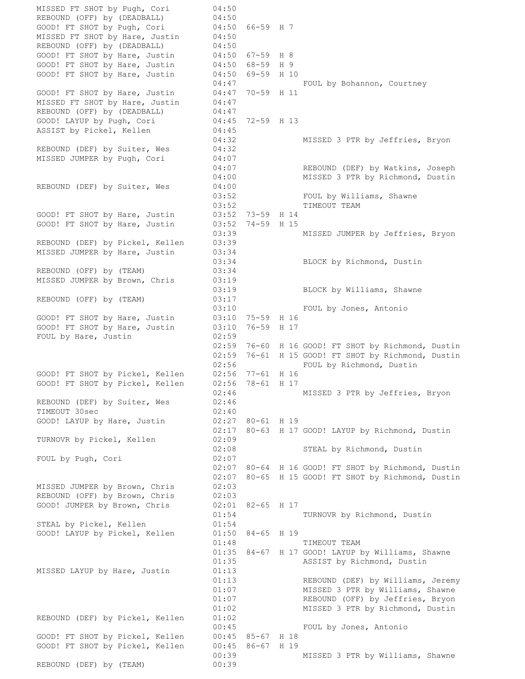MISSED FT SHOT by Pugh, Cori 04:50 REBOUND (OFF) by (DEADBALL) 04:50<br>GOOD! FT SHOT by Pugh, Cori 04:50 GOOD! FT SHOT by Pugh, Cori 04:50 66-59 H 7 MISSED FT SHOT by Hare, Justin 04:50 REBOUND (OFF) by (DEADBALL) 04:50 GOOD! FT SHOT by Hare, Justin 04:50 67-59 H 8 GOOD! FT SHOT by Hare, Justin 04:50 68-59 H 9 GOOD! FT SHOT by Hare, Justin 04:50 69-59 H 10 04:47 FOUL by Bohannon, Courtney GOOD! FT SHOT by Hare, Justin 04:47 70-59 H 11 MISSED FT SHOT by Hare, Justin 04:47 REBOUND (OFF) by (DEADBALL) 04:47 GOOD! LAYUP by Pugh, Cori 04:45 72-59 H 13 GOOD! LAYUP by Pugh, Cori 04:45 72-59 H 13<br>ASSIST by Pickel, Kellen 04:45 04:32 MISSED 3 PTR by Jeffries, Bryon<br>04:32<br>0.1. REBOUND (DEF) by Suiter, Wes MISSED JUMPER by Pugh, Cori 04:07 04:07 REBOUND (DEF) by Watkins, Joseph 04:00 MISSED 3 PTR by Richmond, Dustin REBOUND (DEF) by Suiter, Wes 04:00 FOUL by Williams, Shawne 03:52 TIMEOUT TEAM GOOD! FT SHOT by Hare, Justin 03:52 73-59 H 14 GOOD! FT SHOT by Hare, Justin 03:52 74-59 H 15 03:39 MISSED JUMPER by Jeffries, Bryon REBOUND (DEF) by Pickel, Kellen 03:39 MISSED JUMPER by Hare, Justin 03:34 03:34 BLOCK by Richmond, Dustin REBOUND (OFF) by (TEAM) 03:34 MISSED JUMPER by Brown, Chris 03:19 03:19 BLOCK by Williams, Shawne REBOUND (OFF) by (TEAM) 03:17 03:10 FOUL by Jones, Antonio GOOD! FT SHOT by Hare, Justin 03:10 75-59 H 16 GOOD! FT SHOT by Hare, Justin 03:10 76-59 H 17 FOUL by Hare, Justin 02:59 02:59<br>02:59 76-60 H 16 GOOD! FT SHOT by Richmond, Dustin 02:59 76-61 H 15 GOOD! FT SHOT by Richmond, Dustin 02:56 FOUL by Richmond, Dustin GOOD! FT SHOT by Pickel, Kellen 02:56 77-61 H 16 GOOD! FT SHOT by Pickel, Kellen 02:56 78-61 H 17 02:46 MISSED 3 PTR by Jeffries, Bryon REBOUND (DEF) by Suiter, Wes 02:46 TIMEOUT 30sec 02:40 GOOD! LAYUP by Hare, Justin 02:27 80-61 H 19 02:17 80-63 H 17 GOOD! LAYUP by Richmond, Dustin TURNOVR by Pickel, Kellen 02:09 02:08 STEAL by Richmond, Dustin FOUL by Pugh, Cori 02:07 02:07 80-64 H 16 GOOD! FT SHOT by Richmond, Dustin 02:07 80-65 H 15 GOOD! FT SHOT by Richmond, Dustin MISSED JUMPER by Brown, Chris 02:03 REBOUND (OFF) by Brown, Chris 02:03 GOOD! JUMPER by Brown, Chris 02:01 82-65 H 17<br>01:54 TURNOVR by Richmond, Dustin STEAL by Pickel, Kellen 01:54 GOOD! LAYUP by Pickel, Kellen 01:50 84-65 H 19 01:48 TIMEOUT TEAM 01:35 84-67 H 17 GOOD! LAYUP by Williams, Shawne 01:35 ASSIST by Richmond, Dustin MISSED LAYUP by Hare, Justin 01:13 01:13 REBOUND (DEF) by Williams, Jeremy 01:07 MISSED 3 PTR by Williams, Shawne 01:07 REBOUND (OFF) by Jeffries, Bryon 01:02 MISSED 3 PTR by Richmond, Dustin REBOUND (DEF) by Pickel, Kellen 01:02 00:45 FOUL by Jones, Antonio GOOD! FT SHOT by Pickel, Kellen 00:45 85-67 H 18 GOOD! FT SHOT by Pickel, Kellen 00:45 86-67 H 19 00:39 MISSED 3 PTR by Williams, Shawne REBOUND (DEF) by (TEAM) 00:39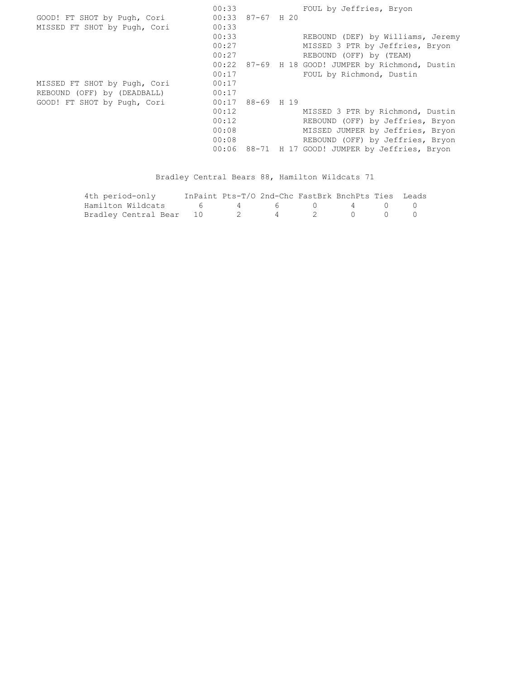00:33 FOUL by Jeffries, Bryon GOOD! FT SHOT by Pugh, Cori 00:33 87-67 H 20 MISSED FT SHOT by Pugh, Cori 00:33 00:33 REBOUND (DEF) by Williams, Jeremy 00:27 MISSED 3 PTR by Jeffries, Bryon 00:27 REBOUND (OFF) by (TEAM) 00:22 87-69 H 18 GOOD! JUMPER by Richmond, Dustin 00:17 FOUL by Richmond, Dustin MISSED FT SHOT by Pugh, Cori 00:17 REBOUND (OFF) by (DEADBALL) 00:17 GOOD! FT SHOT by Pugh, Cori 00:17 88-69 H 19 00:12 MISSED 3 PTR by Richmond, Dustin 00:12 REBOUND (OFF) by Jeffries, Bryon 00:08 MISSED JUMPER by Jeffries, Bryon 00:08 REBOUND (OFF) by Jeffries, Bryon 00:08 REBOUND (OFF) by Jeffries, Bryon<br>00:06 88-71 H 17 GOOD! JUMPER by Jeffries, Bryon

## Bradley Central Bears 88, Hamilton Wildcats 71

| 4th period-only                     |  | InPaint Pts-T/O 2nd-Chc FastBrk BnchPts Ties Leads |  |  |
|-------------------------------------|--|----------------------------------------------------|--|--|
| Hamilton Wildcats 6 4 6 0 4 0 0     |  |                                                    |  |  |
| Bradley Central Bear 10 2 4 2 0 0 0 |  |                                                    |  |  |